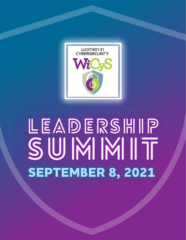

# LEADERSHIP SUMMIT **SEPTEMBER 8, 2021**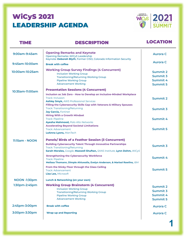

#### TIME DESCRIPTION LOCATION  $\mathbf{L}$  $\mathbf{I}$

| 9:00am-9:45am       | <b>Opening Remarks and Keynote</b><br><b>Opening Remarks: WiCyS Leadership</b><br>Keynote: Deborah Blyth, Former CISO, Colorado Information Security                                                                                                                                              | <b>Aurora C</b>                                     |
|---------------------|---------------------------------------------------------------------------------------------------------------------------------------------------------------------------------------------------------------------------------------------------------------------------------------------------|-----------------------------------------------------|
| 9:45am-10:00am      | <b>Break with coffee</b>                                                                                                                                                                                                                                                                          | <b>Aurora C</b>                                     |
| 10:00am-10:25am     | <b>Working Group Survey Findings (4 Concurrent)</b><br><b>Inclusion Working Group</b><br><b>Transitioning/Returning Working Group</b><br><b>Pipeline Working Group</b><br><b>Advancement Working</b>                                                                                              | Summit 2<br>Summit 3<br>Summit 4<br>Summit 5        |
| 10:35am-11:00am     | <b>Presentation Sessions (4 Concurrent)</b>                                                                                                                                                                                                                                                       |                                                     |
|                     | Inclusion as Job Zero - How to Develop an Inclusive-Minded Workplace<br><b>Track: Inclusion</b><br><b>Ashley Smyk, AWS Professional Services</b><br>Filling the Cybersecurity Skills Gap with Veterans & Military Spouses<br><b>Track: Transitioning/Returning</b><br><b>Jay Garcia, Fortinet</b> | Summit 2<br>Summit 3                                |
|                     | <b>Hiring With a Growth Mindset</b><br><b>Track: Pipeline</b><br>Ayesha Mahmood, Palo Alto Networks                                                                                                                                                                                               | Summit 4                                            |
|                     | <b>Accelerating Beyond Societal Limitations</b><br><b>Track: Advancement</b><br>LeAnna Lyons, ManTech                                                                                                                                                                                             | <b>Summit 5</b>                                     |
| 11:15am - NOON      | <b>Panels/ Birds of a Feather Session (3 Concurrent)</b>                                                                                                                                                                                                                                          |                                                     |
|                     | <b>Building Cybersecurity Talent Through Innovative Partnerships</b><br><b>Track: Transitioning/Returning</b><br>Sarah Morales, Google, Maxwell Shuftan, SANS Institute, Lynn Dohm, WiCyS                                                                                                         | Summit 3                                            |
|                     | <b>Strengthening the Cybersecurity Workforce</b><br><b>Track: Pipeline</b><br>Melissa Thomann, Dimple Ahluwalia, Evelyn Anderson, & Marisol Rawlins, IBM                                                                                                                                          | Summit 4                                            |
|                     | From the Sticky Floor through the Glass Ceiling<br>Track: Advancement<br>Lisa Lee, Microsoft                                                                                                                                                                                                      | Summit 5                                            |
| <b>NOON -1:30pm</b> | <b>Lunch &amp; Networking (on your own)</b>                                                                                                                                                                                                                                                       |                                                     |
| 1:30pm-2:45pm       | <b>Working Group Brainstorm (4 Concurrent)</b><br><b>Inclusion Working Group</b><br><b>Transitioning/Returning Working Group</b><br><b>Pipeline Working Group</b><br><b>Advancement Working</b>                                                                                                   | Summit 2<br>Summit 3<br>Summit 4<br><b>Summit 5</b> |
| 2:45pm-3:00pm       | <b>Break with coffee</b>                                                                                                                                                                                                                                                                          | <b>Aurora C</b>                                     |
| 3:00pm-3:30pm       | <b>Wrap-up and Reporting</b>                                                                                                                                                                                                                                                                      | <b>Aurora C</b>                                     |
|                     |                                                                                                                                                                                                                                                                                                   |                                                     |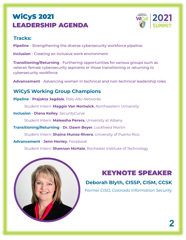

#### **Tracks:**

**Pipeline** - Strengthening the diverse cybersecurity workforce pipeline.

**Inclusion** - Creating an inclusive work environment

**Transitioning/Returning** - Furthering opportunities for various groups such as veteran female cybersecurity aspirants or those transitioning or returning to cybersecurity workforce

**Advancement** - Advancing women in technical and non-technical leadership roles

#### **WiCyS Working Group Champions**

**Pipeline** - **Prajakta Jagdale**, *Palo Alto Networks*

Student Intern: **Maggie Van Nortwick**, Northeastern University

**Inclusion** - **Diana Kelley**, *SecurityCurve*

Student Intern: **Maleesha Perera**, University at Albany

**Transitioning/Returning** - **Dr. Dawn Beyer**, *Lockheed Martin*

Student Intern: **Shaina Munoz-Rivera**, University of Puerto Rico

**Advancement** - **Jenn Henley**, *Facebook*

Student Intern: **Shannon McHale**, Rochester Institute of Technology



## KEYNOTE SPEAKER

### **Deborah Blyth, CISSP, CISM, CCSK**

*Former CISO, Colorado Information Security*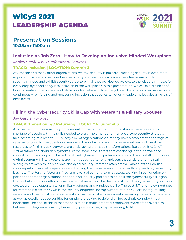

#### **Presentation Sessions 10:35am-11:00am**

#### **Inclusion as Job Zero - How to Develop an Inclusive-Minded Workplace**

Ashley Smyk, *AWS Professional Services*

#### **TRACK: Inclusion | LOCATION: Summit 2**

At Amazon and many other organizations, we say "security is job zero," meaning security is even more important than any other number one priority, and we create a place where teams are wholly security-minded and exhibit security as job zero in all they do. How do we create the job zero mindset for every employee and apply it to inclusion in the workplace? In this presentation, we will explore ideas of how to create and enforce a workplace mindset where inclusion is job zero by building mechanisms and continuously reinforcing and measuring inclusion that applies to not only leadership but also all levels of employees.

#### **Filling the Cybersecurity Skills Gap with Veterans & Military Spouses**

#### Jay Garcia, *Fortinet*

#### **TRACK: Transitioning/ Returning | LOCATION: Summit 3**

Anyone trying to hire a security professional for their organization understands there is a serious shortage of people with the skills needed to plan, implement and manage a cybersecurity strategy. In fact, according to a recent ISC2 survey, 56% of organizations claim they have a problematic shortage of cybersecurity skills. The question everyone in the industry is asking is, where will we find the skilled resources to fill this gap? Networks are undergoing dramatic transformations, fueled by BYOD, IoT, virtualization and cloud deployments. At the same time, threats are escalating in their prevalence, sophistication and impact. The lack of skilled cybersecurity professionals could literally stall our growing digital economy. Military veterans are highly sought after by employers that understand the real synergies between military service and cybersecurity. Veterans often are well ahead of their civilian counterparts in level of preparation and training they have received that directly applies to cybersecurity business. The Fortinet Veterans Program is part of our long-term strategy, working in conjunction with partner nonprofit organizations, channel and industry partners to help fill the cybersecurity skills gap that is challenging our efforts to secure global networks. The dearth of skills in the cybersecurity industry creates a unique opportunity for military veterans and employers alike. The post-9/11 unemployment rate for veterans is close to 9% while the security engineer unemployment rate is 0%. Fortunately, military veterans and the industry share many skills that can make cybersecurity rewarding careers for veterans as well as excellent opportunities for employers looking to defend an increasingly complex threat landscape. The goal of this presentation is to help make potential employers aware of the synergies between military service and cybersecurity positions they may be seeking to fill.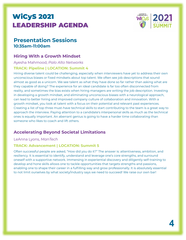

#### **Presentation Sessions 10:35am-11:00am**

#### **Hiring With a Growth Mindset**

Ayesha Mahmood, *Palo Alto Networks*

#### **TRACK: Pipeline | LOCATION: Summit 4**

Hiring diverse talent could be challenging, especially when interviewers have yet to address their own unconscious biases or fixed mindsets about top talent. We often see job descriptions that sound almost as good as a unicorn. We see talent as what they have done so far rather than asking what are they capable of doing? The experience for an ideal candidate is far too often disconnected from reality, and sometimes the bias exists when hiring managers are writing the job description. Investing in developing a growth mindset, and eliminating unconscious biases with a neurological approach, can lead to better hiring and improved company culture of collaboration and innovation. With a growth mindset, you look at talent with a focus on their potential and relevant past experiences. Creating a list of top three must-have technical skills to start contributing to the team is a great way to approach the interview. Paying attention to a candidate's interpersonal skills as much as the technical ones is equally important. An aberrant genius is going to have a harder time collaborating than someone who likes to coach and lift others.

#### **Accelerating Beyond Societal Limitations**

#### LeAnna Lyons, *ManTech*

#### **TRACK: Advancement | LOCATION: Summit 5**

Often successful people are asked, "How did you do it?" The answer is: attentiveness, ambition, and resiliency. It is essential to identify, understand and leverage one's core strengths, and surround oneself with a supportive network. Immersing in experiential discovery and diligently self-training to develop and hone skills allows one to tackle opportunities that targets strengths and passions, enabling one to shape their career in a fulfilling way and grow professionally. It is absolutely essential to not limit ourselves by what society/industry says we need to succeed! We raise our own bar!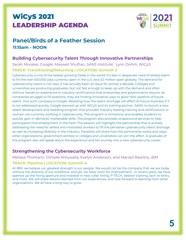

#### **Panel/Birds of a Feather Session 11:15am - NOON**

#### **Building Cybersecurity Talent Through Innovative Partnerships**

Sarah Morales, *Google*, Maxwell Shuftan, *SANS Institute*, Lynn Dohm, *WiCyS*

#### **TRACK: Transitioning/Returning | LOCATION: Summit 3**

Cybersecurity is one of the fastest growing fields in the world. It's also in desperate need of skilled talent to fill the over 500,000 jobs currently open in the U.S. and 3.5 million open globally. The demand for cybersecurity talent is not new, it has actually been an issue for almost a decade. Colleges and universities are producing graduates, but not fast enough to keep up with the demand and often without hands-on experience or industry certifications that enterprises and governments require. As companies struggle to fill positions, they are finding innovative ways to grow their pipeline of future talent. One such company is Google. Realizing how the talent shortage will affect its future business if it is not addressed quickly, Google teamed up with WiCyS and its training partner, SANS, to launch a new talent development and reskilling program that provides industry leading training and certifications to women not currently working in cybersecurity. The program is immersive and enables students to quickly gain in-demand, marketable skills. The program also provides wraparound services to help participants find employment in the field. This session will highlight the partnership that is actively addressing the need for skilled and motivated workers to fill the pervasive cybersecurity talent shortage as well as increasing diversity in the industry. Panelists will share how the partnership works and ways other organizations, government entities or colleges and universities can join the effort. A graduate of the program also will speak about the experience and her journey into a new cybersecurity career.

#### **Strengthening the Cybersecurity Workforce**

Melissa Thomann, Dimple Ahluwalia, Evelyn Anderson, and Marisol Rawlins, *IBM*

#### **TRACK: Pipeline | LOCATION: Summit 4**

At IBM, we believe our greatest strength is our people. We would not be the company that we are today without the diversity of our workforce, and yet, we have room for improvement. In recent years, we have opened up the hiring aperture and invested in new collar hiring, P-TECH, veteran training, tech re-entry, and more. We will share lessons learned from our experiences, and look forward to learning from other organizations. We all have a long way to grow.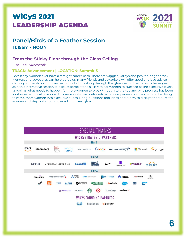

## **Panel/Birds of a Feather Session**

**11:15am - NOON**

#### **From the Sticky Floor through the Glass Ceiling**

Lisa Lee, *Microsoft*

#### **TRACK: Advancement | LOCATION: Summit 5**

Few, if any, women ever have a straight career path. There are wiggles, valleys and peaks along the way. Mentors and advocates can help guide us; many friends and coworkers will offer good and bad advice. Getting off the sticky floor can be tough, but breaking through the glass ceiling has its own challenges. Join this interactive session to discuss some of the skills vital for women to succeed at the executive levels, as well as what needs to happen for more women to break through to the top and why progress has been so slow in technical positions. This session also will delve into what companies could and should be doing to move more women into executive suites. Bring questions and ideas about how to disrupt the future for women and step onto floors covered in broken glass.